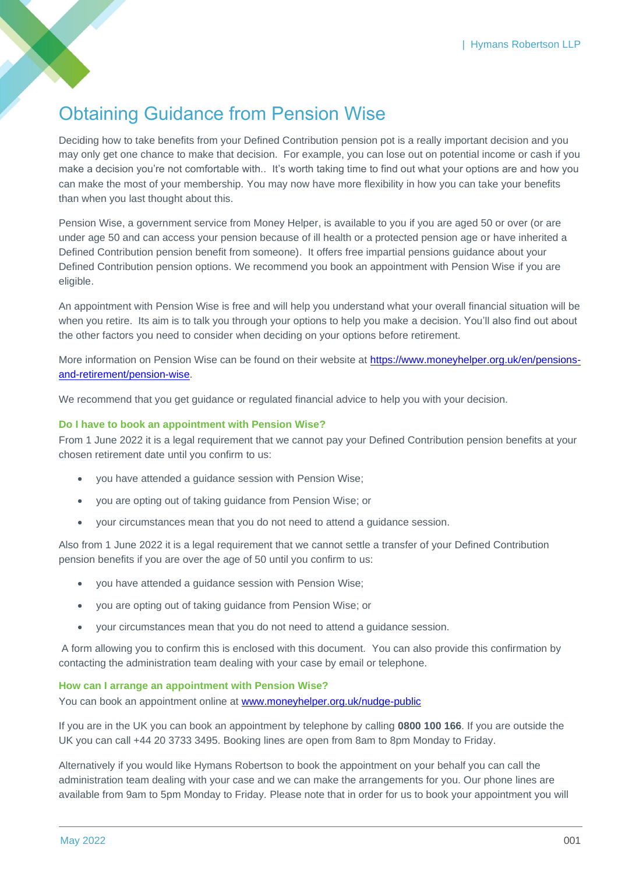# Obtaining Guidance from Pension Wise

Deciding how to take benefits from your Defined Contribution pension pot is a really important decision and you may only get one chance to make that decision. For example, you can lose out on potential income or cash if you make a decision you're not comfortable with.. It's worth taking time to find out what your options are and how you can make the most of your membership. You may now have more flexibility in how you can take your benefits than when you last thought about this.

Pension Wise, a government service from Money Helper, is available to you if you are aged 50 or over (or are under age 50 and can access your pension because of ill health or a protected pension age or have inherited a Defined Contribution pension benefit from someone). It offers free impartial pensions guidance about your Defined Contribution pension options. We recommend you book an appointment with Pension Wise if you are eligible.

An appointment with Pension Wise is free and will help you understand what your overall financial situation will be when you retire. Its aim is to talk you through your options to help you make a decision. You'll also find out about the other factors you need to consider when deciding on your options before retirement.

More information on Pension Wise can be found on their website at [https://www.moneyhelper.org.uk/en/pensions](https://www.moneyhelper.org.uk/en/pensions-and-retirement/pension-wise)[and-retirement/pension-wise.](https://www.moneyhelper.org.uk/en/pensions-and-retirement/pension-wise)

We recommend that you get guidance or regulated financial advice to help you with your decision.

## **Do I have to book an appointment with Pension Wise?**

From 1 June 2022 it is a legal requirement that we cannot pay your Defined Contribution pension benefits at your chosen retirement date until you confirm to us:

- you have attended a guidance session with Pension Wise;
- you are opting out of taking guidance from Pension Wise; or
- your circumstances mean that you do not need to attend a guidance session.

Also from 1 June 2022 it is a legal requirement that we cannot settle a transfer of your Defined Contribution pension benefits if you are over the age of 50 until you confirm to us:

- you have attended a guidance session with Pension Wise;
- you are opting out of taking guidance from Pension Wise; or
- your circumstances mean that you do not need to attend a guidance session.

A form allowing you to confirm this is enclosed with this document. You can also provide this confirmation by contacting the administration team dealing with your case by email or telephone.

#### **How can I arrange an appointment with Pension Wise?**

You can book an appointment online at [www.moneyhelper.org.uk/nudge-public](https://eur03.safelinks.protection.outlook.com/?url=http%3A%2F%2Fwww.moneyhelper.org.uk%2Fnudge-public&data=05%7C01%7CStuart.Reid%40hymans.co.uk%7C1dfaf5d91fbb4ed133e708da373ba777%7Ca2276d23b28149629c993c5c8d9895c5%7C0%7C0%7C637883026589692795%7CUnknown%7CTWFpbGZsb3d8eyJWIjoiMC4wLjAwMDAiLCJQIjoiV2luMzIiLCJBTiI6Ik1haWwiLCJXVCI6Mn0%3D%7C3000%7C%7C%7C&sdata=8beL%2Bl24tPXCEni2IFCezR2MMvJ2MPJDq7j9yNFusFM%3D&reserved=0)

If you are in the UK you can book an appointment by telephone by calling **0800 100 166**. If you are outside the UK you can call +44 20 3733 3495. Booking lines are open from 8am to 8pm Monday to Friday.

Alternatively if you would like Hymans Robertson to book the appointment on your behalf you can call the administration team dealing with your case and we can make the arrangements for you. Our phone lines are available from 9am to 5pm Monday to Friday. Please note that in order for us to book your appointment you will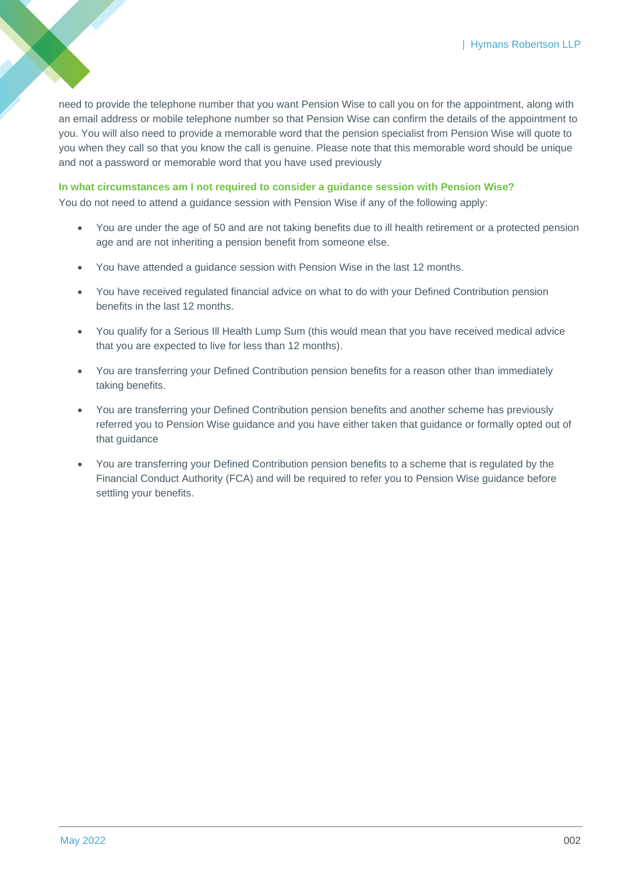need to provide the telephone number that you want Pension Wise to call you on for the appointment, along with an email address or mobile telephone number so that Pension Wise can confirm the details of the appointment to you. You will also need to provide a memorable word that the pension specialist from Pension Wise will quote to you when they call so that you know the call is genuine. Please note that this memorable word should be unique and not a password or memorable word that you have used previously

## **In what circumstances am I not required to consider a guidance session with Pension Wise?**

You do not need to attend a guidance session with Pension Wise if any of the following apply:

- You are under the age of 50 and are not taking benefits due to ill health retirement or a protected pension age and are not inheriting a pension benefit from someone else.
- You have attended a guidance session with Pension Wise in the last 12 months.
- You have received regulated financial advice on what to do with your Defined Contribution pension benefits in the last 12 months.
- You qualify for a Serious Ill Health Lump Sum (this would mean that you have received medical advice that you are expected to live for less than 12 months).
- You are transferring your Defined Contribution pension benefits for a reason other than immediately taking benefits.
- You are transferring your Defined Contribution pension benefits and another scheme has previously referred you to Pension Wise guidance and you have either taken that guidance or formally opted out of that guidance
- You are transferring your Defined Contribution pension benefits to a scheme that is regulated by the Financial Conduct Authority (FCA) and will be required to refer you to Pension Wise guidance before settling your benefits.